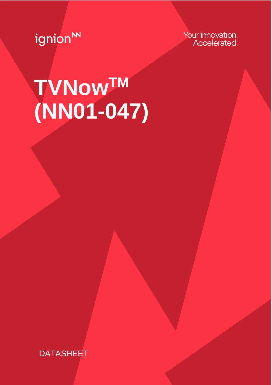ignion<sup>N</sup>

Your innovation. Accelerated.

# **TVNowTM (NN01-047)**

**DATASHEET**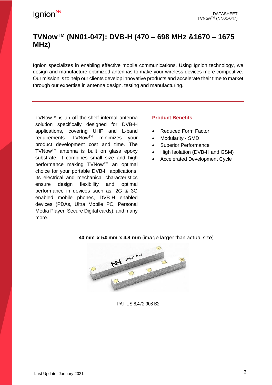### **TVNowTM (NN01-047): DVB-H (470 – 698 MHz &1670 – 1675 MHz)**

Ignion specializes in enabling effective mobile communications. Using Ignion technology, we design and manufacture optimized antennas to make your wireless devices more competitive. Our mission is to help our clients develop innovative products and accelerate their time to market through our expertise in antenna design, testing and manufacturing.

TVNow™ is an off-the-shelf internal antenna solution specifically designed for DVB-H applications, covering UHF and L-band requirements. TVNowTM minimizes your product development cost and time. The TVNowTM antenna is built on glass epoxy substrate. It combines small size and high performance making TVNow™ an optimal choice for your portable DVB-H applications. Its electrical and mechanical characteristics ensure design flexibility and optimal performance in devices such as: 2G & 3G enabled mobile phones, DVB-H enabled devices (PDAs, Ultra Mobile PC, Personal Media Player, Secure Digital cards), and many more.

### **Product Benefits**

- Reduced Form Factor
- Modularity SMD
- Superior Performance
- High Isolation (DVB-H and GSM)
- Accelerated Development Cycle



### **40 mm x 5.0 mm x 4.8 mm** (image larger than actual size)

PAT US 8,472,908 B2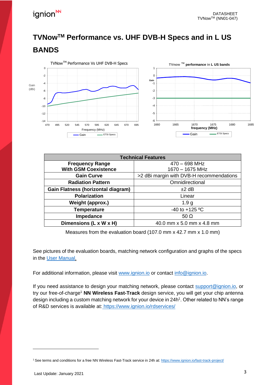## **TVNowTM Performance vs. UHF DVB-H Specs and in L US BANDS**



| <b>Technical Features</b>                 |                                          |
|-------------------------------------------|------------------------------------------|
| <b>Frequency Range</b>                    | $470 - 698$ MHz                          |
| <b>With GSM Coexistence</b>               | 1670 - 1675 MHz                          |
| <b>Gain Curve</b>                         | >2 dBi margin with DVB-H recommendations |
| <b>Radiation Pattern</b>                  | Omnidirectional                          |
| <b>Gain Flatness (horizontal diagram)</b> | $±2$ dB                                  |
| <b>Polarization</b>                       | Linear                                   |
| Weight (approx.)                          | 1.9 <sub>g</sub>                         |
| <b>Temperature</b>                        | -40 to +125 $^{\circ}$ C                 |
| Impedance                                 | 50 $\Omega$                              |
| Dimensions (L x W x H)                    | 40.0 mm x 5.0 mm x 4.8 mm                |

Measures from the evaluation board (107.0 mm x 42.7 mm x 1.0 mm)

See pictures of the evaluation boards, matching network configuration and graphs of the specs in the [User Manual.](http://www.ignion.io/files/UM_NN01-047.pdf)

For additional information, please visit [www.ignion.io](http://www.ignion.io/) or contact [info@ignion.io.](mailto:info@ignion.io)

If you need assistance to design your matching network, please contact [support@ignion.io,](mailto:support@ignion.io) or try our free-of-charge<sup>1</sup> **NN Wireless Fast-Track** design service, you will get your chip antenna design including a custom matching network for your device in 24h<sup>1</sup>. Other related to NN's range of R&D services is available at: <https://www.ignion.io/rdservices/>

<sup>1</sup> See terms and conditions for a free NN Wireless Fast-Track service in 24h at: <https://www.ignion.io/fast-track-project/>